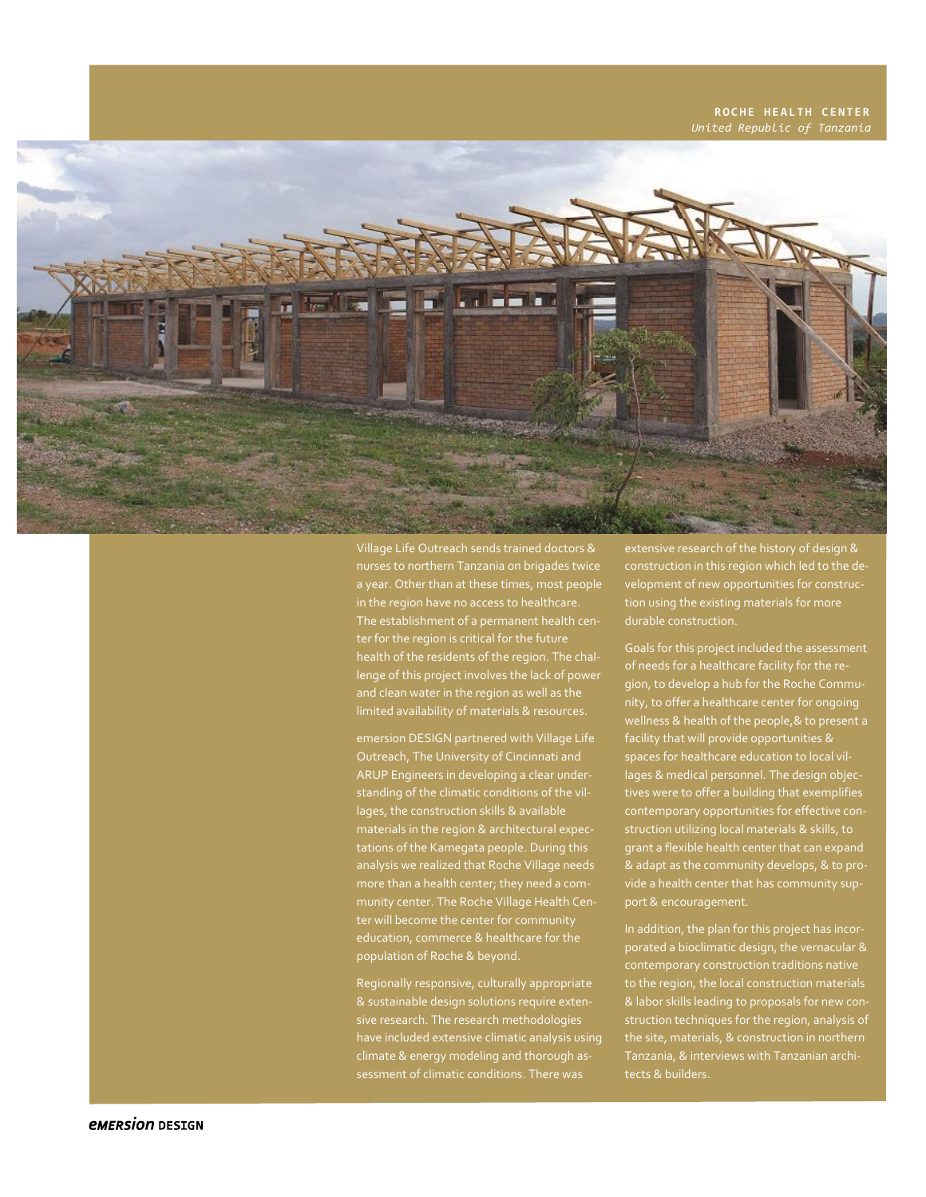## **ROCHE HEALTH CENTER** *United Republic of Tanzania*



Village Life Outreach sends trained doctors & nurses to northern Tanzania on brigades twice a year. Other than at these times, most people in the region have no access to healthcare. The establishment of a permanent health center for the region is critical for the future health of the residents of the region. The challenge of this project involves the lack of power and clean water in the region as well as the

emersion DESIGN partnered with Village Life ARUP Engineers in developing a clear underlages, the construction skills & available materials in the region & architectural expectations of the Kamegata people. During this analysis we realized that Roche Village needs munity center. The Roche Village Health Ceneducation, commerce & healthcare for the population of Roche & beyond.

Regionally responsive, culturally appropriate & sustainable design solutions require extensive research. The research methodologies have included extensive climatic analysis using climate & energy modeling and thorough as-

extensive research of the history of design & construction in this region which led to the development of new opportunities for construction using the existing materials for more durable construction.

Goals for this project included the assessment of needs for a healthcare facility for the region, to develop a hub for the Roche Community, to offer a healthcare center for ongoing wellness & health of the people,& to present a facility that will provide opportunities & spaces for healthcare education to local villages & medical personnel. The design objectives were to offer a building that exemplifies contemporary opportunities for effective construction utilizing local materials & skills, to grant a flexible health center that can expand & adapt as the community develops, & to proport & encouragement.

In addition, the plan for this project has incorporated a bioclimatic design, the vernacular & contemporary construction traditions native to the region, the local construction materials & labor skills leading to proposals for new construction techniques for the region, analysis of tects & builders.